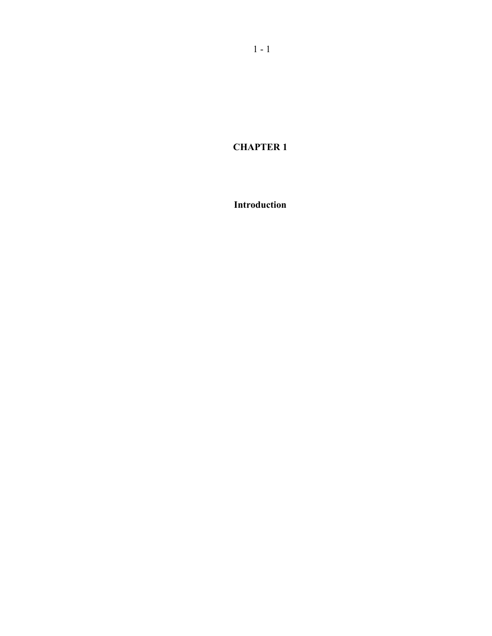**CHAPTER 1** 

**Introduction**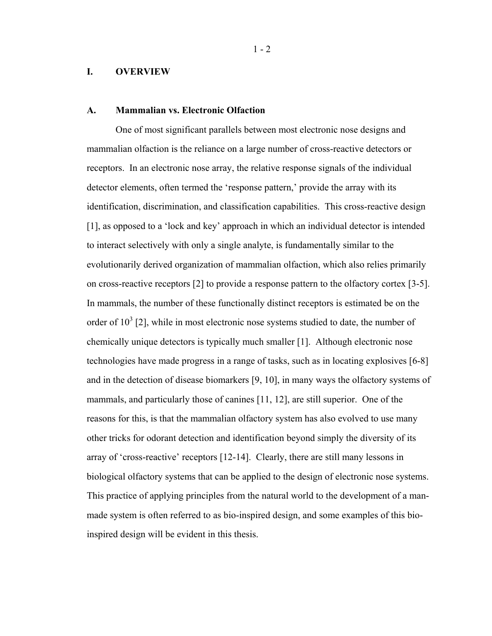### **I. OVERVIEW**

## **A. Mammalian vs. Electronic Olfaction**

One of most significant parallels between most electronic nose designs and mammalian olfaction is the reliance on a large number of cross-reactive detectors or receptors. In an electronic nose array, the relative response signals of the individual detector elements, often termed the 'response pattern,' provide the array with its identification, discrimination, and classification capabilities. This cross-reactive design [1], as opposed to a 'lock and key' approach in which an individual detector is intended to interact selectively with only a single analyte, is fundamentally similar to the evolutionarily derived organization of mammalian olfaction, which also relies primarily on cross-reactive receptors [2] to provide a response pattern to the olfactory cortex [3-5]. In mammals, the number of these functionally distinct receptors is estimated be on the order of  $10^3$  [2], while in most electronic nose systems studied to date, the number of chemically unique detectors is typically much smaller [1]. Although electronic nose technologies have made progress in a range of tasks, such as in locating explosives [6-8] and in the detection of disease biomarkers [9, 10], in many ways the olfactory systems of mammals, and particularly those of canines [11, 12], are still superior. One of the reasons for this, is that the mammalian olfactory system has also evolved to use many other tricks for odorant detection and identification beyond simply the diversity of its array of 'cross-reactive' receptors [12-14]. Clearly, there are still many lessons in biological olfactory systems that can be applied to the design of electronic nose systems. This practice of applying principles from the natural world to the development of a manmade system is often referred to as bio-inspired design, and some examples of this bioinspired design will be evident in this thesis.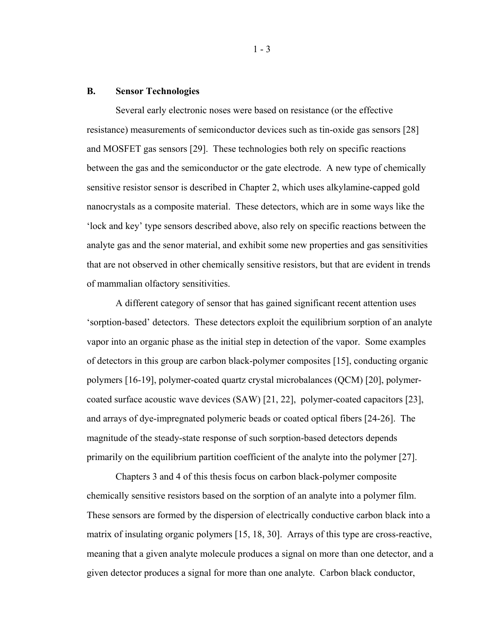#### **B. Sensor Technologies**

Several early electronic noses were based on resistance (or the effective resistance) measurements of semiconductor devices such as tin-oxide gas sensors [28] and MOSFET gas sensors [29]. These technologies both rely on specific reactions between the gas and the semiconductor or the gate electrode. A new type of chemically sensitive resistor sensor is described in Chapter 2, which uses alkylamine-capped gold nanocrystals as a composite material. These detectors, which are in some ways like the 'lock and key' type sensors described above, also rely on specific reactions between the analyte gas and the senor material, and exhibit some new properties and gas sensitivities that are not observed in other chemically sensitive resistors, but that are evident in trends of mammalian olfactory sensitivities.

A different category of sensor that has gained significant recent attention uses 'sorption-based' detectors. These detectors exploit the equilibrium sorption of an analyte vapor into an organic phase as the initial step in detection of the vapor. Some examples of detectors in this group are carbon black-polymer composites [15], conducting organic polymers [16-19], polymer-coated quartz crystal microbalances (QCM) [20], polymercoated surface acoustic wave devices (SAW) [21, 22], polymer-coated capacitors [23], and arrays of dye-impregnated polymeric beads or coated optical fibers [24-26]. The magnitude of the steady-state response of such sorption-based detectors depends primarily on the equilibrium partition coefficient of the analyte into the polymer [27].

Chapters 3 and 4 of this thesis focus on carbon black-polymer composite chemically sensitive resistors based on the sorption of an analyte into a polymer film. These sensors are formed by the dispersion of electrically conductive carbon black into a matrix of insulating organic polymers [15, 18, 30]. Arrays of this type are cross-reactive, meaning that a given analyte molecule produces a signal on more than one detector, and a given detector produces a signal for more than one analyte. Carbon black conductor,

 $1 - 3$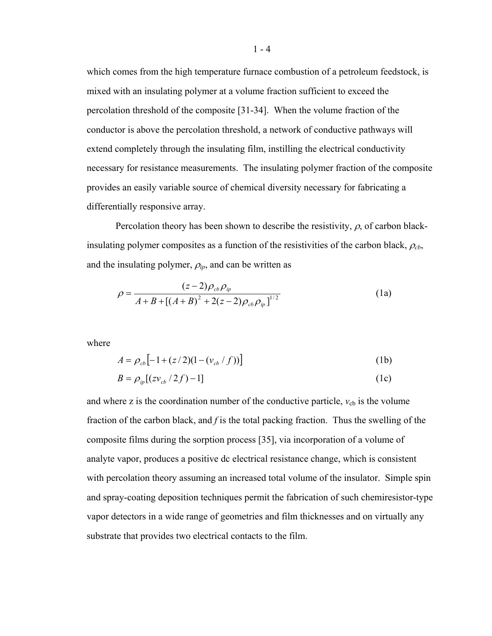which comes from the high temperature furnace combustion of a petroleum feedstock, is mixed with an insulating polymer at a volume fraction sufficient to exceed the percolation threshold of the composite [31-34]. When the volume fraction of the conductor is above the percolation threshold, a network of conductive pathways will extend completely through the insulating film, instilling the electrical conductivity necessary for resistance measurements. The insulating polymer fraction of the composite provides an easily variable source of chemical diversity necessary for fabricating a differentially responsive array.

Percolation theory has been shown to describe the resistivity,  $\rho$ , of carbon blackinsulating polymer composites as a function of the resistivities of the carbon black,  $\rho_{cb}$ , and the insulating polymer,  $\rho_{ip}$ , and can be written as

$$
\rho = \frac{(z-2)\rho_{cb}\rho_{ip}}{A+B+[(A+B)^2+2(z-2)\rho_{cb}\rho_{ip}]^{1/2}}
$$
(1a)

where

$$
A = \rho_{cb} \left[ -1 + (z/2)(1 - (v_{cb} / f)) \right]
$$
 (1b)

$$
B = \rho_{ip} \left[ \left( z v_{cb} / 2 f \right) - 1 \right] \tag{1c}
$$

and where z is the coordination number of the conductive particle,  $v_{cb}$  is the volume fraction of the carbon black, and *f* is the total packing fraction. Thus the swelling of the composite films during the sorption process [35], via incorporation of a volume of analyte vapor, produces a positive dc electrical resistance change, which is consistent with percolation theory assuming an increased total volume of the insulator. Simple spin and spray-coating deposition techniques permit the fabrication of such chemiresistor-type vapor detectors in a wide range of geometries and film thicknesses and on virtually any substrate that provides two electrical contacts to the film.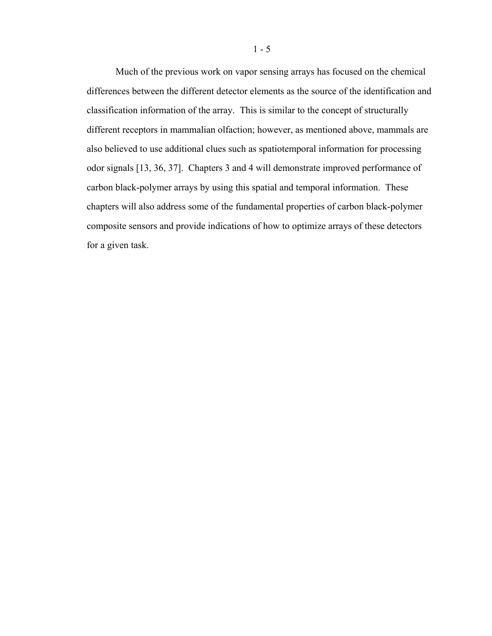Much of the previous work on vapor sensing arrays has focused on the chemical differences between the different detector elements as the source of the identification and classification information of the array. This is similar to the concept of structurally different receptors in mammalian olfaction; however, as mentioned above, mammals are also believed to use additional clues such as spatiotemporal information for processing odor signals [13, 36, 37]. Chapters 3 and 4 will demonstrate improved performance of carbon black-polymer arrays by using this spatial and temporal information. These chapters will also address some of the fundamental properties of carbon black-polymer composite sensors and provide indications of how to optimize arrays of these detectors for a given task.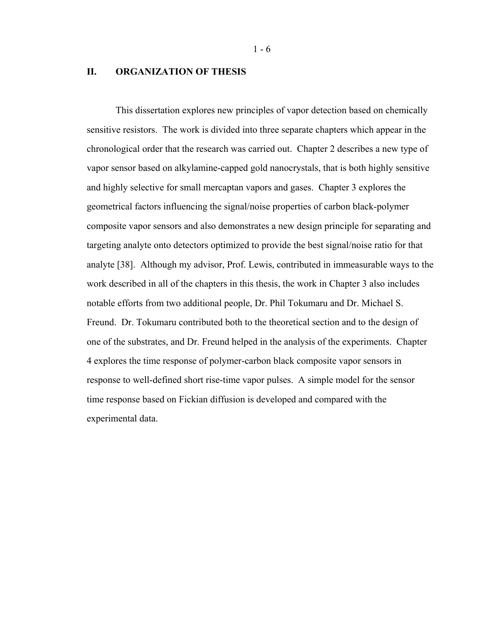# **II. ORGANIZATION OF THESIS**

This dissertation explores new principles of vapor detection based on chemically sensitive resistors. The work is divided into three separate chapters which appear in the chronological order that the research was carried out. Chapter 2 describes a new type of vapor sensor based on alkylamine-capped gold nanocrystals, that is both highly sensitive and highly selective for small mercaptan vapors and gases. Chapter 3 explores the geometrical factors influencing the signal/noise properties of carbon black-polymer composite vapor sensors and also demonstrates a new design principle for separating and targeting analyte onto detectors optimized to provide the best signal/noise ratio for that analyte [38]. Although my advisor, Prof. Lewis, contributed in immeasurable ways to the work described in all of the chapters in this thesis, the work in Chapter 3 also includes notable efforts from two additional people, Dr. Phil Tokumaru and Dr. Michael S. Freund. Dr. Tokumaru contributed both to the theoretical section and to the design of one of the substrates, and Dr. Freund helped in the analysis of the experiments. Chapter 4 explores the time response of polymer-carbon black composite vapor sensors in response to well-defined short rise-time vapor pulses. A simple model for the sensor time response based on Fickian diffusion is developed and compared with the experimental data.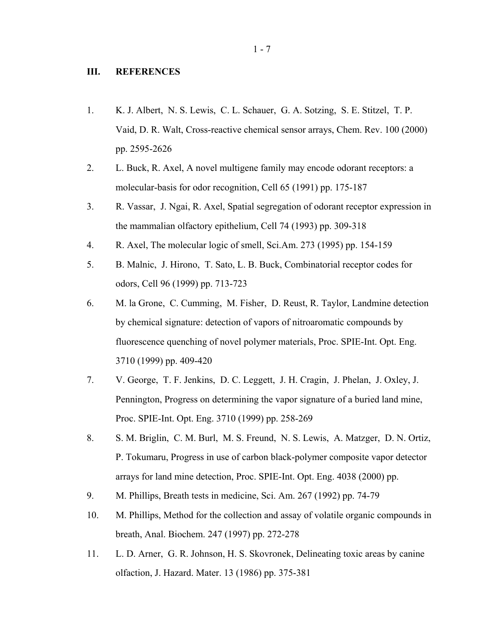## **III. REFERENCES**

- 1. K. J. Albert, N. S. Lewis, C. L. Schauer, G. A. Sotzing, S. E. Stitzel, T. P. Vaid, D. R. Walt, Cross-reactive chemical sensor arrays, Chem. Rev. 100 (2000) pp. 2595-2626
- 2. L. Buck, R. Axel, A novel multigene family may encode odorant receptors: a molecular-basis for odor recognition, Cell 65 (1991) pp. 175-187
- 3. R. Vassar, J. Ngai, R. Axel, Spatial segregation of odorant receptor expression in the mammalian olfactory epithelium, Cell 74 (1993) pp. 309-318
- 4. R. Axel, The molecular logic of smell, Sci.Am. 273 (1995) pp. 154-159
- 5. B. Malnic, J. Hirono, T. Sato, L. B. Buck, Combinatorial receptor codes for odors, Cell 96 (1999) pp. 713-723
- 6. M. la Grone, C. Cumming, M. Fisher, D. Reust, R. Taylor, Landmine detection by chemical signature: detection of vapors of nitroaromatic compounds by fluorescence quenching of novel polymer materials, Proc. SPIE-Int. Opt. Eng. 3710 (1999) pp. 409-420
- 7. V. George, T. F. Jenkins, D. C. Leggett, J. H. Cragin, J. Phelan, J. Oxley, J. Pennington, Progress on determining the vapor signature of a buried land mine, Proc. SPIE-Int. Opt. Eng. 3710 (1999) pp. 258-269
- 8. S. M. Briglin, C. M. Burl, M. S. Freund, N. S. Lewis, A. Matzger, D. N. Ortiz, P. Tokumaru, Progress in use of carbon black-polymer composite vapor detector arrays for land mine detection, Proc. SPIE-Int. Opt. Eng. 4038 (2000) pp.
- 9. M. Phillips, Breath tests in medicine, Sci. Am. 267 (1992) pp. 74-79
- 10. M. Phillips, Method for the collection and assay of volatile organic compounds in breath, Anal. Biochem. 247 (1997) pp. 272-278
- 11. L. D. Arner, G. R. Johnson, H. S. Skovronek, Delineating toxic areas by canine olfaction, J. Hazard. Mater. 13 (1986) pp. 375-381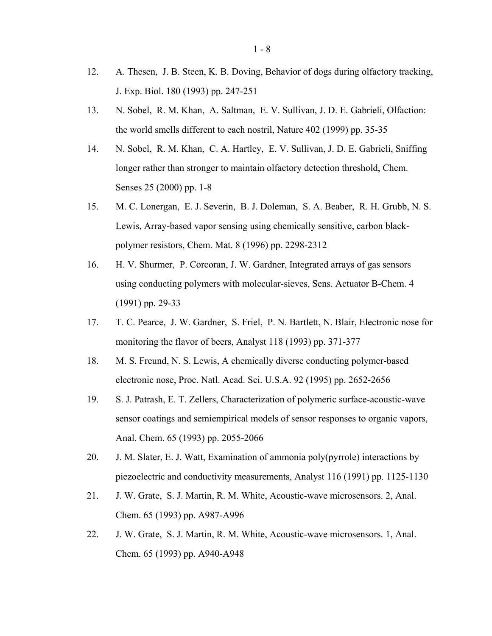- 12. A. Thesen, J. B. Steen, K. B. Doving, Behavior of dogs during olfactory tracking, J. Exp. Biol. 180 (1993) pp. 247-251
- 13. N. Sobel, R. M. Khan, A. Saltman, E. V. Sullivan, J. D. E. Gabrieli, Olfaction: the world smells different to each nostril, Nature 402 (1999) pp. 35-35
- 14. N. Sobel, R. M. Khan, C. A. Hartley, E. V. Sullivan, J. D. E. Gabrieli, Sniffing longer rather than stronger to maintain olfactory detection threshold, Chem. Senses 25 (2000) pp. 1-8
- 15. M. C. Lonergan, E. J. Severin, B. J. Doleman, S. A. Beaber, R. H. Grubb, N. S. Lewis, Array-based vapor sensing using chemically sensitive, carbon blackpolymer resistors, Chem. Mat. 8 (1996) pp. 2298-2312
- 16. H. V. Shurmer, P. Corcoran, J. W. Gardner, Integrated arrays of gas sensors using conducting polymers with molecular-sieves, Sens. Actuator B-Chem. 4 (1991) pp. 29-33
- 17. T. C. Pearce, J. W. Gardner, S. Friel, P. N. Bartlett, N. Blair, Electronic nose for monitoring the flavor of beers, Analyst 118 (1993) pp. 371-377
- 18. M. S. Freund, N. S. Lewis, A chemically diverse conducting polymer-based electronic nose, Proc. Natl. Acad. Sci. U.S.A. 92 (1995) pp. 2652-2656
- 19. S. J. Patrash, E. T. Zellers, Characterization of polymeric surface-acoustic-wave sensor coatings and semiempirical models of sensor responses to organic vapors, Anal. Chem. 65 (1993) pp. 2055-2066
- 20. J. M. Slater, E. J. Watt, Examination of ammonia poly(pyrrole) interactions by piezoelectric and conductivity measurements, Analyst 116 (1991) pp. 1125-1130
- 21. J. W. Grate, S. J. Martin, R. M. White, Acoustic-wave microsensors. 2, Anal. Chem. 65 (1993) pp. A987-A996
- 22. J. W. Grate, S. J. Martin, R. M. White, Acoustic-wave microsensors. 1, Anal. Chem. 65 (1993) pp. A940-A948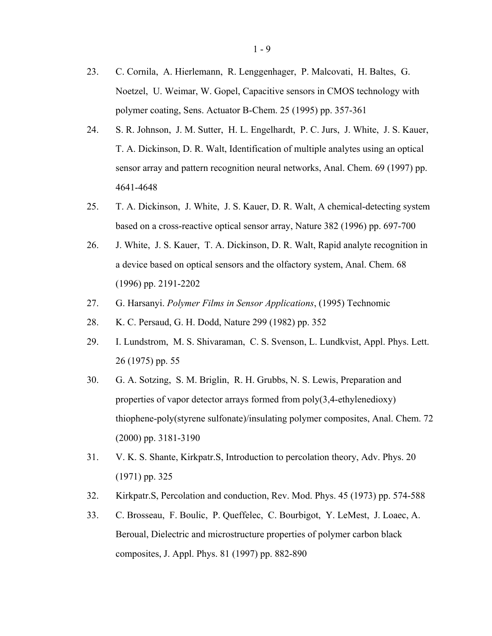- 23. C. Cornila, A. Hierlemann, R. Lenggenhager, P. Malcovati, H. Baltes, G. Noetzel, U. Weimar, W. Gopel, Capacitive sensors in CMOS technology with polymer coating, Sens. Actuator B-Chem. 25 (1995) pp. 357-361
- 24. S. R. Johnson, J. M. Sutter, H. L. Engelhardt, P. C. Jurs, J. White, J. S. Kauer, T. A. Dickinson, D. R. Walt, Identification of multiple analytes using an optical sensor array and pattern recognition neural networks, Anal. Chem. 69 (1997) pp. 4641-4648
- 25. T. A. Dickinson, J. White, J. S. Kauer, D. R. Walt, A chemical-detecting system based on a cross-reactive optical sensor array, Nature 382 (1996) pp. 697-700
- 26. J. White, J. S. Kauer, T. A. Dickinson, D. R. Walt, Rapid analyte recognition in a device based on optical sensors and the olfactory system, Anal. Chem. 68 (1996) pp. 2191-2202
- 27. G. Harsanyi. *Polymer Films in Sensor Applications*, (1995) Technomic
- 28. K. C. Persaud, G. H. Dodd, Nature 299 (1982) pp. 352
- 29. I. Lundstrom, M. S. Shivaraman, C. S. Svenson, L. Lundkvist, Appl. Phys. Lett. 26 (1975) pp. 55
- 30. G. A. Sotzing, S. M. Briglin, R. H. Grubbs, N. S. Lewis, Preparation and properties of vapor detector arrays formed from poly(3,4-ethylenedioxy) thiophene-poly(styrene sulfonate)/insulating polymer composites, Anal. Chem. 72 (2000) pp. 3181-3190
- 31. V. K. S. Shante, Kirkpatr.S, Introduction to percolation theory, Adv. Phys. 20 (1971) pp. 325
- 32. Kirkpatr.S, Percolation and conduction, Rev. Mod. Phys. 45 (1973) pp. 574-588
- 33. C. Brosseau, F. Boulic, P. Queffelec, C. Bourbigot, Y. LeMest, J. Loaec, A. Beroual, Dielectric and microstructure properties of polymer carbon black composites, J. Appl. Phys. 81 (1997) pp. 882-890